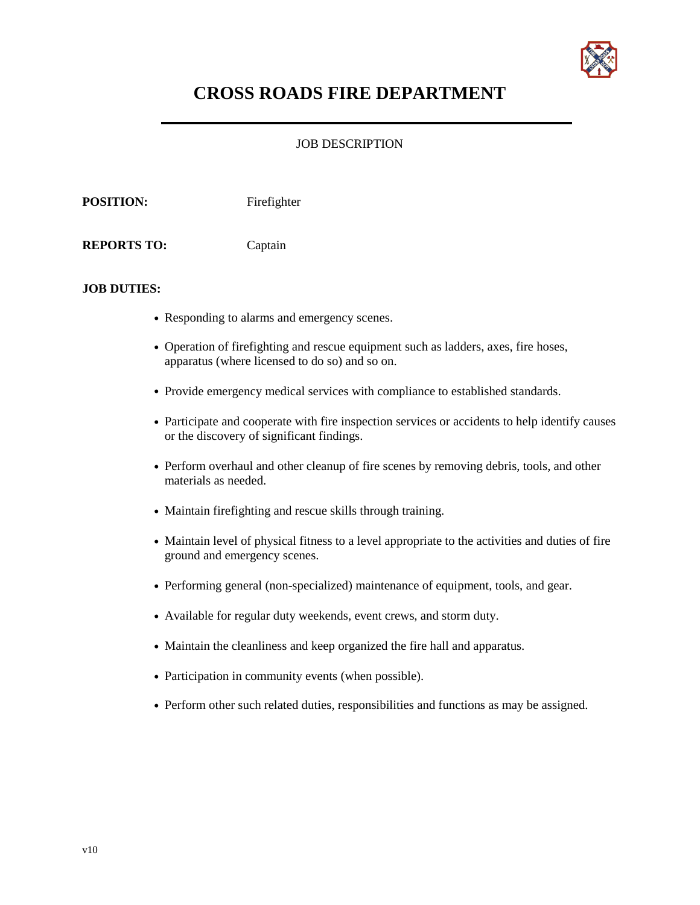

# **CROSS ROADS FIRE DEPARTMENT**

## JOB DESCRIPTION

**POSITION:** Firefighter **REPORTS TO:** Captain

#### **JOB DUTIES:**

- **•** Responding to alarms and emergency scenes.
- **•** Operation of firefighting and rescue equipment such as ladders, axes, fire hoses, apparatus (where licensed to do so) and so on.
- Provide emergency medical services with compliance to established standards.
- Participate and cooperate with fire inspection services or accidents to help identify causes or the discovery of significant findings.
- **•** Perform overhaul and other cleanup of fire scenes by removing debris, tools, and other materials as needed.
- **•** Maintain firefighting and rescue skills through training.
- Maintain level of physical fitness to a level appropriate to the activities and duties of fire ground and emergency scenes.
- **•** Performing general (non-specialized) maintenance of equipment, tools, and gear.
- **•** Available for regular duty weekends, event crews, and storm duty.
- **•** Maintain the cleanliness and keep organized the fire hall and apparatus.
- **•** Participation in community events (when possible).
- Perform other such related duties, responsibilities and functions as may be assigned.